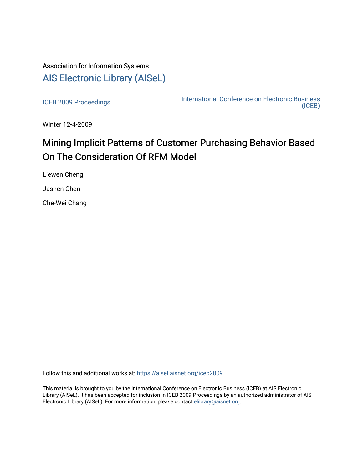## Association for Information Systems [AIS Electronic Library \(AISeL\)](https://aisel.aisnet.org/)

[ICEB 2009 Proceedings](https://aisel.aisnet.org/iceb2009) **International Conference on Electronic Business** [\(ICEB\)](https://aisel.aisnet.org/iceb) 

Winter 12-4-2009

# Mining Implicit Patterns of Customer Purchasing Behavior Based On The Consideration Of RFM Model

Liewen Cheng

Jashen Chen

Che-Wei Chang

Follow this and additional works at: [https://aisel.aisnet.org/iceb2009](https://aisel.aisnet.org/iceb2009?utm_source=aisel.aisnet.org%2Ficeb2009%2F8&utm_medium=PDF&utm_campaign=PDFCoverPages)

This material is brought to you by the International Conference on Electronic Business (ICEB) at AIS Electronic Library (AISeL). It has been accepted for inclusion in ICEB 2009 Proceedings by an authorized administrator of AIS Electronic Library (AISeL). For more information, please contact [elibrary@aisnet.org.](mailto:elibrary@aisnet.org%3E)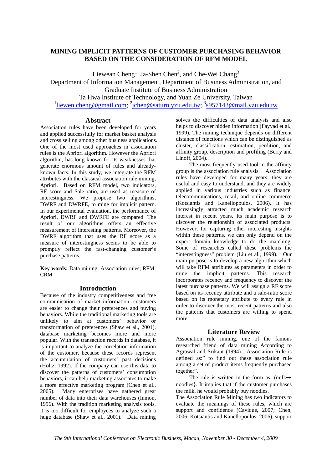## **MINING IMPLICIT PATTERNS OF CUSTOMER PURCHASING BEHAVIOR BASED ON THE CONSIDERATION OF RFM MODEL**

Liewean Cheng<sup>1</sup>, Ja-Shen Chen<sup>2</sup>, and Che-Wei Chang<sup>3</sup>

Department of Information Management, Department of Business Administration, and Graduate Institute of Business Administration

Ta Hwa Institute of Technology, and Yuan Ze University, Taiwan

<sup>1</sup>liewen.cheng@gmail.com; <sup>2</sup>jchen@saturn.yzu.edu.tw; <sup>3</sup>s957143@mail.yzu.edu.tw

## **Abstract**

Association rules have been developed for years and applied successfully for market basket analysis and cross selling among other business applications. One of the most used approaches in association rules is the Apriori algorithm. However the Apriori algorithm, has long known for its weaknesses that generate enormous amount of rules and alreadyknown facts. In this study, we integrate the RFM attributes with the classical association rule mining, Apriori. Based on RFM model, two indicators, RF score and Sale ratio, are used as measure of interestingness. We propose two algorithms, DWRF and DWRFE, to mine for implicit pattern. In our experimental evaluation, the performance of Apriori, DWRF and DWRFE are compared. The result of our algorithms offers an effective measurement of interesting patterns. Moreover, the DWRF algorithm that uses the RF score as a measure of interestingness seems to be able to promptly reflect the fast-changing customer's purchase patterns.

**Key words:** Data mining; Association rules; RFM; CRM

## **Introduction**

Because of the industry competitiveness and free communication of market information, customers are easier to change their preferences and buying behaviors. While the traditional marketing tools are unlikely to aim at customers' behavior or transformation of preferences (Shaw et al., 2001), database marketing becomes more and more popular. With the transaction records in database, it is important to analyze the correlation information of the customer, because these records represent the accumulation of customers' past decisions (Holtz, 1992). If the company can use this data to discover the patterns of customers' consumption behaviors, it can help marketing associates to make a more effective marketing program (Chen et al., 2005). Many enterprises have gathered great number of data into their data warehouses (Inmon, 1996). With the tradition marketing analysis tools, it is too difficult for employees to analyze such a huge database (Shaw et al., 2001). Data mining

solves the difficulties of data analysis and also helps to discover hidden information (Fayyad et al., 1999). The mining technique depends on different distance of functions which can be distinguished as cluster, classification, estimation, perdition, and affinity group, description and profiling (Berry and Linoff, 2004)..

The most frequently used tool in the affinity group is the association rule analysis. Association rules have developed for many years; they are useful and easy to understand, and they are widely applied in various industries such as finance, telecommunications, retail, and online commerce (Kotsiantis and Kanellopoulos, 2006). It has increasingly attracted much academic research interest in recent years. Its main purpose is to discover the relationship of associated products. However, for capturing other interesting insights within these patterns, we can only depend on the expert domain knowledge to do the matching. Some of researches called these problems the "interestingness" problem (Liu et al., 1999). Our main purpose is to develop a new algorithm which will take RFM attributes as parameters in order to mine the implicit patterns. This research incorporates recency and frequency to discover the latest purchase patterns. We will assign a RF score based on its recency attribute and a sale-ratio score based on its monetary attribute to every rule in order to discover the most recent patterns and also the patterns that customers are willing to spend more.

## **Literature Review**

Association rule mining, one of the famous researched friend of data mining According to Agrawal and Srikant (1994) , Association Rule is defined as:" to find out these association rule among a set of product items frequently purchased together".

The rule is written in the form as:  $(milk \rightarrow$ noodles}. It implies that if the customer purchases the milk, he would probably buy noodles.

The Association Rule Mining has two indicators to evaluate the meanings of these rules, which are support and confidence (Cavique, 2007; Chen, 2006; Kotsiantis and Kanellopoulos, 2006). support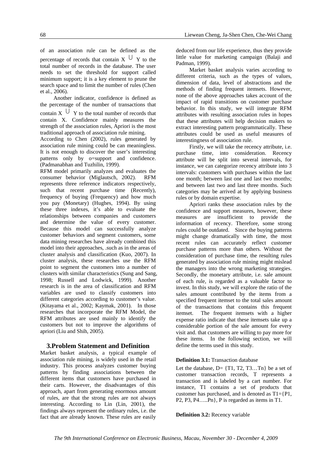of an association rule can be defined as the percentage of records that contain  $X \cup Y$  to the total number of records in the database. The user needs to set the threshold for support called minimum support; it is a key element to prune the search space and to limit the number of rules (Chen et al., 2006).

Another indicator, confidence is defined as the percentage of the number of transactions that contain X  $\cup$  Y to the total number of records that contain X. Confidence mainly measures the strength of the association rules, Apriori is the most traditional approach of association rule mining.

According to Chen (2002), rules generated by association rule mining could be can meaningless. It is not enough to discover the user's interesting patterns only by o=support and confidence. (Padmanabhan and Tuzhilin, 1999).

RFM model primarily analyzes and evaluates the consumer behavior (Miglautsch, 2002). RFM represents three reference indicators respectively, such that recent purchase time (Recently), frequency of buying (Frequency) and how much you pay (Monetary) (Hughes, 1994). By using these three indexes, it's able to evaluate the relationships between companies and customers and determine the value of every customer. Because this model can successfully analyze customer behaviors and segment customers, some data mining researches have already combined this model into their approaches, .such as in the areas of cluster analysis and classification (Kuo, 2007). In cluster analysis, these researches use the RFM point to segment the customers into a number of clusters with similar characteristics (Sung and Sang, 1998; Russell and Lodwick, 1999). Another research is in the area of classification and RFM variables are used to classify customers into different categories according to customer's value. (Kitayama et al., 2002; Kaymak, 2001). In those researches that incorporate the RFM Model, the RFM attributes are used mainly to identify the customers but not to improve the algorithms of apriori (Liu and Shih, 2005).

## **3.Problem Statement and Definition**

Market basket analysis, a typical example of association rule mining, is widely used in the retail industry. This process analyzes customer buying patterns by finding associations between the different items that customers have purchased in their carts. However, the disadvantages of this approach, apart from generating enormous amount of rules, are that the strong rules are not always interesting. According to Lin (Lin, 2001), the findings always represent the ordinary rules, i.e. the fact that are already known. These rules are easily

deduced from our life experience, thus they provide little value for marketing campaign (Balaji and Padman, 1999).

Market basket analysis varies according to different criteria, such as the types of values, dimension of data, level of abstractions and the methods of finding frequent itemsets. However, none of the above approaches takes account of the impact of rapid transitions on customer purchase behavior. In this study, we will integrate RFM attributes with resulting association rules in hopes that these attributes will help decision makers to extract interesting pattern programmatically. These attributes could be used as useful measures of interestingness of association rule.

Firstly, we will take the recency attribute, i.e. purchase time, into consideration. Recency attribute will be split into several intervals, for instance, we can categorize recency attribute into 3 intervals: customers with purchases within the last one month; between last one and last two months; and between last two and last three months. Such categories may be arrived at by applying business rules or by domain expertise.

Apriori ranks these association rules by the confidence and support measures, however, these measures are insufficient to provide the information of recency. Therefore, some strong rules could be outdated. Since the buying patterns might change dramatically with time, the most recent rules can accurately reflect customer purchase patterns more than others. Without the consideration of purchase time, the resulting rules generated by association rule mining might mislead the managers into the wrong marketing strategies. Secondly, the monetary attribute, i.e. sale amount of each rule, is regarded as a valuable factor to invest. In this study, we will explore the ratio of the sales amount contributed by the items from a specified frequent itemset to the total sales amount of the transactions that contains this frequent itemset. The frequent itemsets with a higher expense ratio indicate that these itemsets take up a considerable portion of the sale amount for every visit and. that customers are willing to pay more for these items. In the following section, we will define the terms used in this study.

#### **Definition 3.1:** Transaction database

Let the database,  $D = \{T1, T2, T3...Tn\}$  be a set of customer transaction records, T represents a transaction and is labeled by a cart number. For instance, T1 contains a set of products that customer has purchased, and is denoted as  $T1 = {P1}$ , P2, P3, P4…..Pn}, P is regarded as items in T1.

#### **Definition 3.2:** Recency variable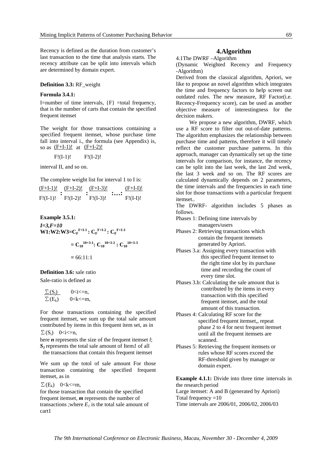Recency is defined as the duration from customer's last transaction to the time that analysis starts. The recency attribute can be split into intervals which are determined by domain expert.

#### **Definition 3.3:** RF\_weight

#### **Formula 3.4.1:**

I=number of time intervals,  ${F}$  =total frequency, that is the number of carts that contain the specified frequent itemset

The weight for those transactions containing a specified frequent itemset, whose purchase time fall into interval i., the formula (see Appendix) is, so as  $(F+I-1)!$  at  $(F+I-2)!$ 

$$
F!(I-1)!
$$
  $F!(I-2)!$ 

interval II, and so on.

The complete weight list for interval 1 to I is:

| $(F+I-1)!$ | $(F+I-2)!$ | $(F+I-3)!$ | $(F+I-I)!$ |
|------------|------------|------------|------------|
|            |            |            |            |
| $F!(I-1)!$ | $F!(I-2)!$ | $F!(I-3)!$ | $F!(I-I)!$ |

Example 3.5.1:  
\n
$$
I=3, F=10
$$
  
\nW1:W2:W3=C<sub>F</sub><sup>F+1-1</sup>: C<sub>F</sub><sup>F+1-2</sup>: C<sub>F</sub><sup>F+1-3</sup>  
\n $= C_{10}^{10+3-1}: C_{10}^{10+3-2}: C_{10}^{10+3-3}$   
\n $= 66:11:1$ 

## **Definition 3.6:** sale ratio

Sale-ratio is defined as

| $\Sigma(S_i)$ | 0 < i < n       |
|---------------|-----------------|
| $\Sigma(E_k)$ | $0 < k < = m$ , |

For those transactions containing the specified frequent itemset, we sum up the total sale amount contributed by items in this frequent item set, as in  $\Sigma(S_i)$  0 <i <= n,

here *n* represents the size of the frequent itemset *l*; *S1* represents the total sale amount of Item*1* of all the transactions that contain this frequent itemset

We sum up the totol of sale amount For those transaction containing the specified frequent itemset, as in

$$
\Sigma(E_k) \quad 0 < k < = m,
$$

for those transaction that contain the specified frequent itemset, *m* represents the number of transactions ;where  $E_l$  is the total sale amount of cart1

## **4.Algorithm**

4.1The DWRF –Algorithm

(Dynamic Weighted Recency and Frequency -Algorithm)

Derived from the classical algorithm, Apriori, we like to propose an novel algorithm which integrates the time and frequency factors to help screen out outdated rules. The new measure, RF Factor(i.e. Recency-Frequency score), can be used as another objective measure of interestingness for the decision makers.

We propose a new algorithm, DWRF, which use a RF score to filter out out-of-date patterns. The algorithm emphasizes the relationship between purchase time and patterns, therefore it will timely reflect the customer purchase patterns. In this approach, manager can dynamically set up the time intervals for comparison, for instance, the recency can be split into the last week, the last 2nd week, the last 3 week and so on. The RF scores are calculated dynamically depends on 2 parameters, the time intervals and the frequencies in each time slot for those transactions with a particular frequent itemset..

The DWRF- algorithm includes 5 phases as follows.

- Phases 1: Defining time intervals by managers/users
- Phases 2: Retrieving transactions which contain the frequent itemsets generated by Apriori.
- Phases 3.a: Assigning every transaction with this specified frequent itemset to the right time slot by its purchase time and recording the count of every time slot.
- Phases 3.b: Calculating the sale amount that is contributed by the items in every transaction with this specified frequent itemset, and the total amount of this transaction.
- Phases 4: Calculating RF score for the specified frequent itemset,, repeat phase 2 to 4 for next frequent itemset until all the frequent itemsets are scanned.
- Phases 5: Retrieving the frequent itemsets or rules whose RF scores exceed the RF-threshold given by manager or domain expert.

**Example 4.1.1:** Divide into three time intervals in the research period Large itemset: A and B (generated by Apriori) Total frequency  $=10$ 

Time intervals are 2006/01, 2006/02, 2006/03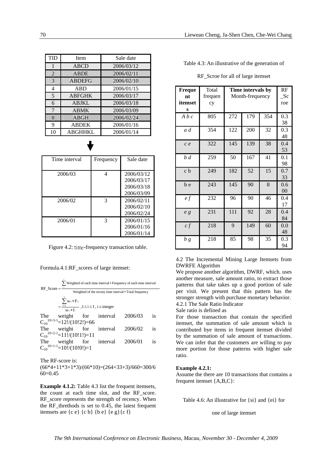| <b>TID</b>     | <b>Item</b>   | Sale date  |
|----------------|---------------|------------|
| 1              | <b>ABCD</b>   | 2006/03/12 |
| $\overline{2}$ | <b>ABDE</b>   | 2006/02/11 |
| 3              | <b>ABDEFG</b> | 2006/02/10 |
| 4              | ABD           | 2006/01/15 |
| 5              | <b>ABFGHK</b> | 2006/03/17 |
| 6              | <b>ABJKL</b>  | 2006/03/18 |
| 7              | <b>ABMK</b>   | 2006/03/09 |
| 8              | <b>ABGH</b>   | 2006/02/24 |
| 9              | <b>ABDEK</b>  | 2006/01/16 |
| 10             | ABGHHKL       | 2006/01/14 |

| Time interval | Frequency | Sale date  |
|---------------|-----------|------------|
|               |           |            |
| 2006/03       | Δ         | 2006/03/12 |
|               |           | 2006/03/17 |
|               |           | 2006/03/18 |
|               |           | 2006/03/09 |
| 2006/02       | 3         | 2006/02/11 |
|               |           | 2006/02/10 |
|               |           | 2006/02/24 |
| 2006/01       | 3         | 2006/01/15 |
|               |           | 2006/01/16 |
|               |           | 2006/01/14 |

Figure 4.2: time-frequency transaction table.

Formula.4.1:RF\_scores of large itemset:

| $RF Score = -$ |                                                                      | Veighted of each time interval * Frequency of each time interval |                                 |                                                        |           |  |
|----------------|----------------------------------------------------------------------|------------------------------------------------------------------|---------------------------------|--------------------------------------------------------|-----------|--|
|                |                                                                      |                                                                  |                                 | Weighted of the receny time interval * Total frequency |           |  |
|                | $\sum_{\mathbf{W}_{\ell i}} \mathbf{w}_{\ell i} * F_{\ell i}$        |                                                                  |                                 |                                                        |           |  |
|                | $=\frac{i=1}{w_6*f_\ell}$ , $1\leq i\leq I$ , $i \in \text{integer}$ |                                                                  |                                 |                                                        |           |  |
| The            |                                                                      |                                                                  | weight for interval 2006/03     |                                                        | is        |  |
|                | $C_{10}^{10+3-1}$ =12. (10!2!)=66                                    |                                                                  |                                 |                                                        |           |  |
| The            |                                                                      |                                                                  | weight for interval             | 2006/02                                                | <i>is</i> |  |
|                | $C_{10}^{10+2-1}$ =11!/(10!1!)=11                                    |                                                                  |                                 |                                                        |           |  |
|                |                                                                      |                                                                  | The weight for interval 2006/01 |                                                        | is        |  |
|                | $C_{10}^{10+1-1}$ =10!/(10!0!)=1                                     |                                                                  |                                 |                                                        |           |  |
|                |                                                                      |                                                                  |                                 |                                                        |           |  |

The RF-score is:  $(66*4+11*3+1*3)/(66*10)=(264+33+3)/660=300/6$ 60=0.45

**Example 4.1.2:** Table 4.3 list the frequent itemsets, the count at each time slot, and the RF\_score. RF score represents the strength of recency. When the RF threthods is set to  $0.45$ , the latest frequent itemsets are  ${c e}$   ${c b}$   ${b e}$   ${e g}$ 

| Table 4.3: An illustrative of the generation of |  |  |  |  |
|-------------------------------------------------|--|--|--|--|
|-------------------------------------------------|--|--|--|--|

| Freque<br>nt<br>itemset<br>S | Total<br>frequen<br>cy | Time intervals by<br>Month-frequency |     |     | RF<br>$\mathcal{S}c$<br>roe |
|------------------------------|------------------------|--------------------------------------|-----|-----|-----------------------------|
| A b c                        | 805                    | 272                                  | 179 | 354 | 0.3<br>38                   |
| a d                          | 354                    | 122                                  | 200 | 32  | 0.3<br>48                   |
| c e                          | 322                    | 145                                  | 139 | 38  | 0.4<br>53                   |
| b d                          | 259                    | 50                                   | 167 | 41  | 0.1<br>98                   |
| c b                          | 249                    | 182                                  | 52  | 15  | 0.7<br>33                   |
| b e                          | 243                    | 145                                  | 90  | 8   | 0.6<br>00                   |
| $\ell f$                     | 232                    | 96                                   | 90  | 46  | 0.4<br>17                   |
| e <sub>g</sub>               | 231                    | 111                                  | 92  | 28  | 0.4<br>84                   |
| cf                           | 218                    | 9                                    | 149 | 60  | 0.0<br>48                   |
| b g                          | 218                    | 85                                   | 98  | 35  | 0.3<br>94                   |

RF\_Scroe for all of large itemset

4.2 The Incremental Mining Large Itemsets from DWRFE Algorithm

We propose another algorithm, DWRF, which. uses another measure, sale amount ratio, to extract those patterns that take takes up a good portion of sale per visit. We present that this pattern has the stronger strength with purchase monetary behavior. 4.2.1 The Sale Ratio Indicator

Sale ratio is defined as

For those transaction that contain the specified itemset, the summation of sale amount which is contributed bye items in frequent itemset divided by the summation of sale amount of transactions. We can infer that the customers are willing to pay more portion for those patterns with higher sale ratio.

#### **Example 4.2.1:**

Assume the there are 10 transactions that contains a frequent itemset {A,B,C}:

Table 4.6: An illustrative for {si} and {ei} for

one of large itemset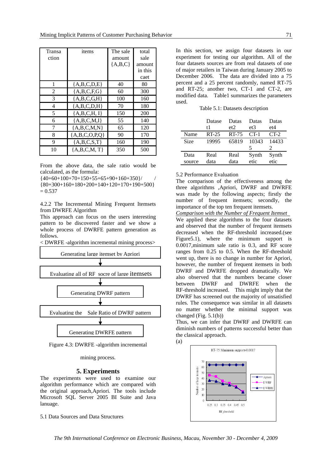| Transa<br>ction | items                | The sale<br>amount<br>${A, B, C}$ | total<br>sale<br>amount<br>in this |
|-----------------|----------------------|-----------------------------------|------------------------------------|
|                 |                      |                                   | caet                               |
|                 | ${A,B,C,D,E}$        | 40                                | 80                                 |
| 2               | ${A, B, C, F, G}$    | 60                                | 300                                |
| 3               | ${A,B,C,G,H}$        | 100                               | 160                                |
| 4               | ${A,B,C,D,H}$        | 70                                | 180                                |
| 5               | ${A,B,C,H,I}$        | 150                               | 200                                |
| 6               | ${A,B,C,M,I}$        | 55                                | 140                                |
| 7               | ${A,B,C,M,N}$        | 65                                | 120                                |
| 8               | ${A, B, C, O, P, Q}$ | 90                                | 170                                |
| 9               | ${A,B,C,S,T}$        | 160                               | 190                                |
| 10              | ${A,B,C,M,T}$        | 350                               | 500                                |

From the above data, the sale ratio would be calculated, as the formula:

 ${40+60+100+70+150+55+65+90+160+350}/$ 

{80+300+160+180+200+140+120+170+190+500}  $= 0.537$ 

4.2.2 The Incremental Mining Frequent Itemsets from DWRFE Algorithm

This approach can focus on the users interesting pattern to be discovered faster and we show a whole process of DWRFE pattern generation as follows.



Figure 4.3: DWRFE -algorithm incremental

mining process.

#### **5. Experiments**

The experiments were used to examine our algorithm performance which are compared with the original approach,Apriori. The tools include Microsoft SQL Server 2005 BI Suite and Java lanuage.

5.1 Data Sources and Data Structures

In this section, we assign four datasets in our experiment for testing our algorithm. All of the four datasets sources are from real datasets of one of major retailers in Taiwan during January 2005 to December 2006. The data are divided into a 75 percent and a 25 percent randomly, named RT-75 and RT-25; another two, CT-1 and CT-2, are modified data. Table1 summarizes the parameters used.

Table 5.1: Datasets description

|        | Datase<br>t1 | Datas<br>et <sub>2</sub> | Datas<br>et3 | Datas<br>et4 |
|--------|--------------|--------------------------|--------------|--------------|
| Name   | $RT-25$      | RT-75                    | $CT-1$       | $CT-2$       |
| Size   | 19995        | 65819                    | 10343        | 14433        |
|        |              |                          | 5            |              |
| Data   | Real         | Real                     | Synth        | Synth        |
| source | data         | data                     | etic         | etic         |

5.2 Performance Evaluation

The comparison of the effectiveness among the three algorithms ,Apriori, DWRF and DWRFE was made by the following aspects; firstly the number of frequent itemsets; secondly, the importance of the top ten frequent itemsets.

*Comparison with the Number of Frequent Itemset*  We applied these algorithms to the four datasets and observed that the number of frequent itemsets decreased when the RF-threshold increased.(see Figure5.1), where the minimum support is 0.0017,minimum sale ratio is 0.3, and RF score ranges from 0.25 to 0.5. When the RF-threshold went up, there is no change in number for Apriori, however, the number of frequent itemsets in both DWRF and DWRFE dropped dramatically. We also observed that the numbers became closer between DWRF and DWRFE when the RF-threshold increased. This might imply that the DWRF has screened out the majority of unsatisfied rules. The consequence was similar in all datasets no matter whether the minimal support was changed (Fig. 5.1(b))

Thus, we can infer that DWRF and DWRFE can diminish numbers of patterns successful better than the classical approach.





*The 9th International Conference on Electronic Business, Macau, November 30 - December 4, 2009*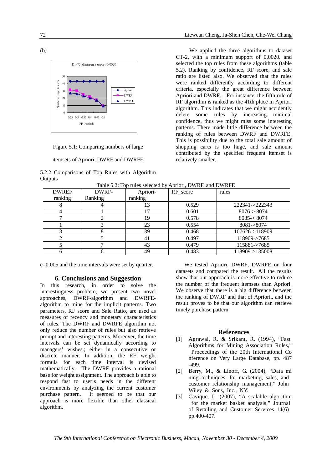



## itemsets of Apriori, DWRF and DWRFE

#### 5.2.2 Comparisons of Top Rules with Algorithm **Outputs**

We applied the three algorithms to dataset CT-2. with a minimum support of 0.0020. and selected the top rules from these algorithms (table 5.2). Ranking by confidence, RF score, and sale ratio are listed also. We observed that the rules were ranked differently according to different criteria, especially the great difference between Apriori and DWRF. For instance, the fifth rule of RF algorithm is ranked as the 41th place in Apriori algorithm. This indicates that we might accidently delete some rules by increasing minimal confidence, thus we might miss some interesting patterns. There made little difference between the ranking of rules between DWRF and DWRFE. This is possibility due to the total sale amount of shopping carts is too huge, and sale amount contributed by the specified frequent itemset is relatively smaller.

| <b>DWREF</b> | DWRF-   | Apriori- | RF score | rules                   |
|--------------|---------|----------|----------|-------------------------|
| ranking      | Ranking | ranking  |          |                         |
|              |         | 13       | 0.529    | 222341->222343          |
|              |         | 17       | 0.601    | $8076 \rightarrow 8074$ |
|              |         | 19       | 0.578    | 8085 > 8074             |
|              |         | 23       | 0.554    | $8081 - 8074$           |
|              |         | 39       | 0.468    | 107626->118909          |
|              |         | 41       | 0.497    | 118909->7685            |
|              |         | 43       | 0.479    | 115881->7685            |
|              | n       | 49       | 0.483    | 118909->135008          |

Table 5.2: Top rules selected by Apriori, DWRF, and DWRFE

e=0.005 and the time intervals were set by quarter.

## **6. Conclusions and Suggestion**

In this research, in order to solve the interestingness problem, we present two novel approaches, DWRF-algorithm and DWRFEalgorithm to mine for the implicit patterns. Two parameters, RF score and Sale Ratio, are used as measures of recency and monetary characteristics of rules. The DWRF and DWRFE algorithm not only reduce the number of rules but also retrieve prompt and interesting patterns. Moreover, the time intervals can be set dynamically according to managers' wishes.; either in a consecutive or discrete manner. In addition, the RF weight formula for each time interval is devised mathematically. The DWRF provides a rational base for weight assignment. The approach is able to respond fast to user's needs in the different environments by analyzing the current customer purchase pattern. It seemed to be that our approach is more flexible than other classical algorithm.

 We tested Apriori, DWRF, DWRFE on four datasets and compared the result.. All the results show that our approach is more effective to reduce the number of the frequent itemsets than Apriori. We observe that there is a big difference between the ranking of DWRF and that of Apriori., and the result proves to be that our algorithm can retrieve timely purchase pattern.

## **References**

- [1] Agrawal, R. & Srikant, R. (1994), "Fast Algorithms for Mining Association Rules," Proceedings of the 20th International Co nference on Very Large Database, pp. 487 -499.
- [2] Berry, M., & Linoff, G. (2004), "Data mi ning techniques: for marketing, sales, and customer relationship management," John Wiley & Sons, Inc., NY.
- [3] Cavique. L. (2007), "A scalable algorithm for the market basket analysis," Journal of Retailing and Customer Services 14(6) pp.400-407.